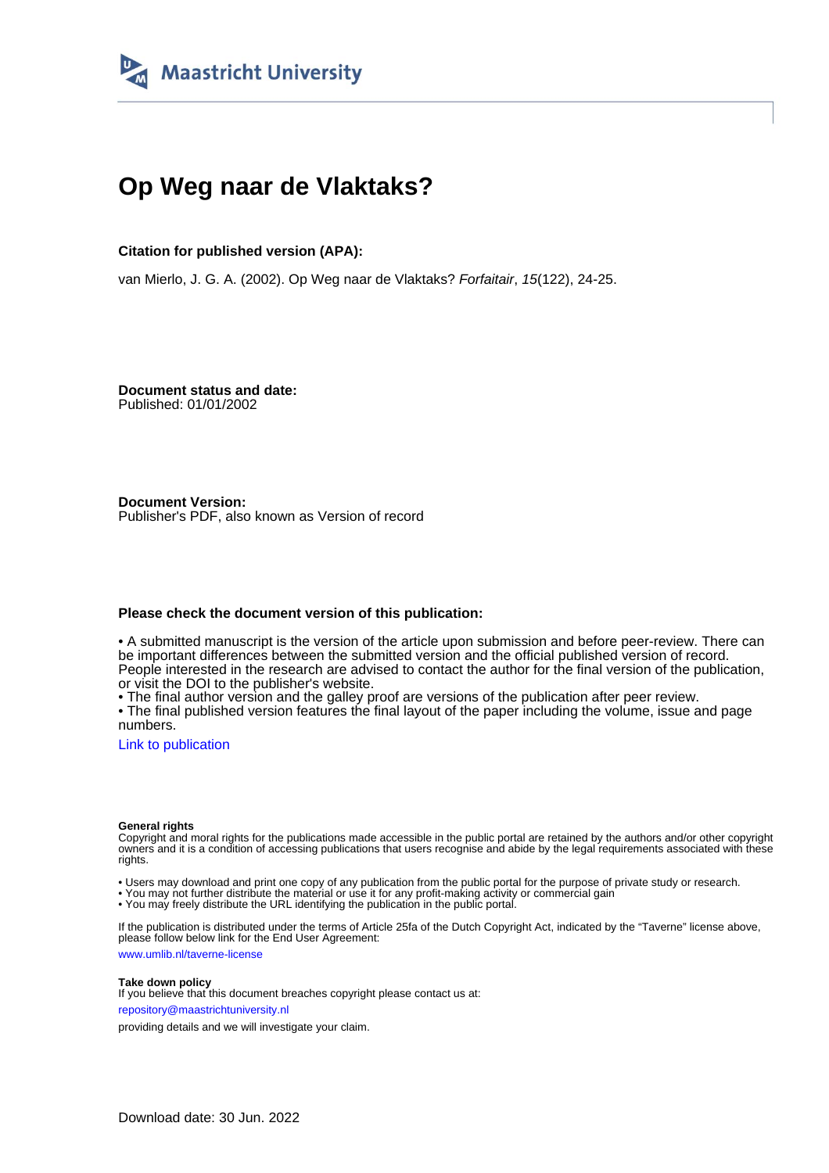

## **Op Weg naar de Vlaktaks?**

#### **Citation for published version (APA):**

van Mierlo, J. G. A. (2002). Op Weg naar de Vlaktaks? Forfaitair, 15(122), 24-25.

**Document status and date:** Published: 01/01/2002

**Document Version:** Publisher's PDF, also known as Version of record

#### **Please check the document version of this publication:**

• A submitted manuscript is the version of the article upon submission and before peer-review. There can be important differences between the submitted version and the official published version of record. People interested in the research are advised to contact the author for the final version of the publication, or visit the DOI to the publisher's website.

• The final author version and the galley proof are versions of the publication after peer review.

• The final published version features the final layout of the paper including the volume, issue and page numbers.

[Link to publication](https://cris.maastrichtuniversity.nl/en/publications/70bcc6eb-ac45-4877-bc52-6fb42c9c0cab)

#### **General rights**

Copyright and moral rights for the publications made accessible in the public portal are retained by the authors and/or other copyright owners and it is a condition of accessing publications that users recognise and abide by the legal requirements associated with these rights.

• Users may download and print one copy of any publication from the public portal for the purpose of private study or research.

• You may not further distribute the material or use it for any profit-making activity or commercial gain

• You may freely distribute the URL identifying the publication in the public portal.

If the publication is distributed under the terms of Article 25fa of the Dutch Copyright Act, indicated by the "Taverne" license above, please follow below link for the End User Agreement:

www.umlib.nl/taverne-license

#### **Take down policy**

If you believe that this document breaches copyright please contact us at: repository@maastrichtuniversity.nl

providing details and we will investigate your claim.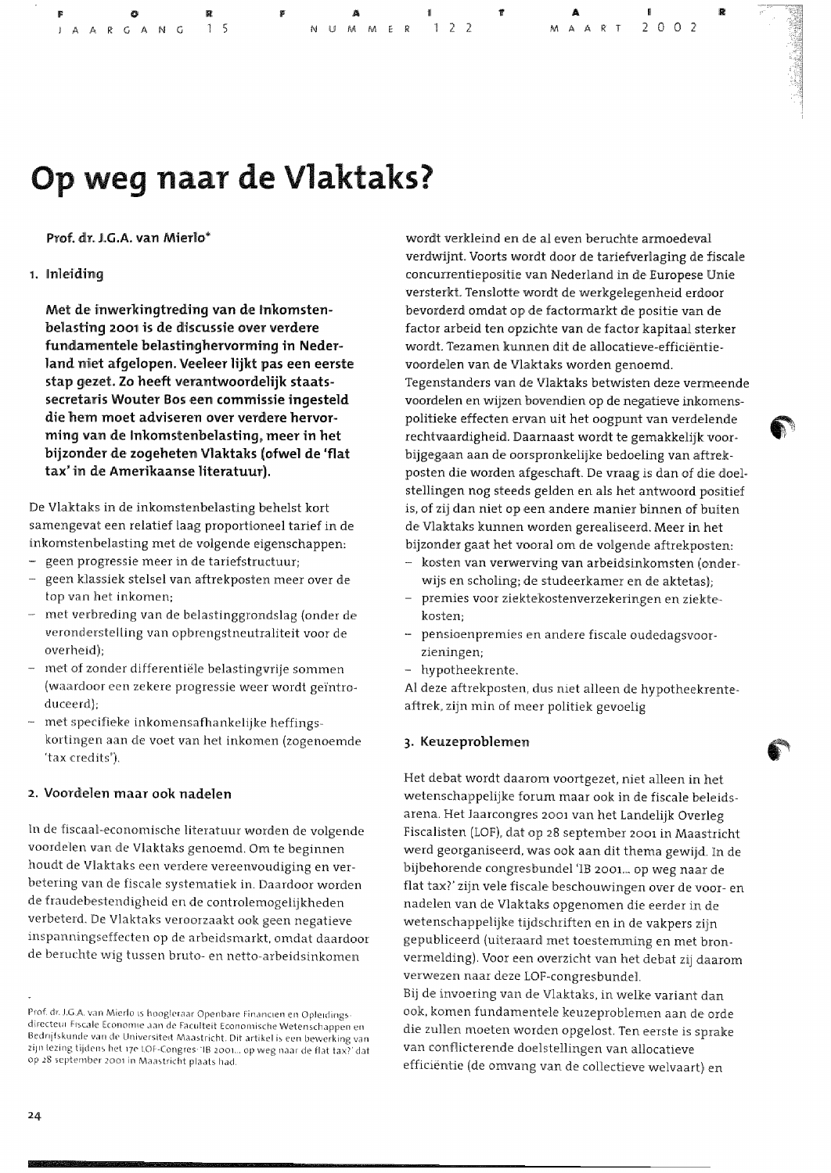**FO**<br>JAARGANG

 $1, 2, 2$ 

 $2002$ 

# Op weg naar de Vlaktaks?

#### Prof. dr. J.G.A. van Mierlo\*

#### 1. Inleiding

Met de inwerkingtreding van de Inkomstenbelasting 2001 is de discussie over verdere fundamentele belastinghervorming in Nederland niet afgelopen. Veeleer lijkt pas een eerste stap gezet. Zo heeft verantwoordelijk staatssecretaris Wouter Bos een commissie ingesteld die hem moet adviseren over verdere hervorming van de Inkomstenbelasting, meer in het bijzonder de zogeheten Vlaktaks (ofwel de 'flat tax' in de Amerikaanse literatuur).

De Vlaktaks in de inkomstenbelasting behelst kort samengevat een relatief laag proportioneel tarief in de inkomstenbelasting met de volgende eigenschappen:

- geen progressie meer in de tariefstructuur;
- geen klassiek stelsel van aftrekposten meer over de top van het inkomen;
- met verbreding van de belastinggrondslag (onder de veronderstelling van opbrengstneutraliteit voor de overheid);
- met of zonder differentiële belastingvrije sommen (waardoor een zekere progressie weer wordt geïntroduceerd);
- met specifieke inkomensafhankelijke heffingskortingen aan de voet van het inkomen (zogenoemde 'tax credits').

#### 2. Voordelen maar ook nadelen

In de fiscaal-economische literatuur worden de volgende voordelen van de Vlaktaks genoemd. Om te beginnen houdt de Vlaktaks een verdere vereenvoudiging en verbetering van de fiscale systematiek in. Daardoor worden de fraudebestendigheid en de controlemogelijkheden verbeterd. De Vlaktaks veroorzaakt ook geen negatieve inspanningseffecten op de arbeidsmarkt, omdat daardoor de beruchte wig tussen bruto- en netto-arbeidsinkomen

wordt verkleind en de al even beruchte armoedeval verdwijnt. Voorts wordt door de tariefverlaging de fiscale concurrentiepositie van Nederland in de Europese Unie versterkt. Tenslotte wordt de werkgelegenheid erdoor bevorderd omdat op de factormarkt de positie van de factor arbeid ten opzichte van de factor kapitaal sterker wordt. Tezamen kunnen dit de allocatieve-efficiëntievoordelen van de Vlaktaks worden genoemd. Tegenstanders van de Vlaktaks betwisten deze vermeende voordelen en wijzen bovendien op de negatieve inkomenspolitieke effecten ervan uit het oogpunt van verdelende rechtvaardigheid. Daarnaast wordt te gemakkelijk voorbijgegaan aan de oorspronkelijke bedoeling van aftrekposten die worden afgeschaft. De vraag is dan of die doelstellingen nog steeds gelden en als het antwoord positief is, of zij dan niet op een andere manier binnen of buiten de Vlaktaks kunnen worden gerealiseerd. Meer in het bijzonder gaat het vooral om de volgende aftrekposten:

- kosten van verwerving van arbeidsinkomsten (onderwijs en scholing; de studeerkamer en de aktetas);
- premies voor ziektekostenverzekeringen en ziektekosten;
- pensioenpremies en andere fiscale oudedagsvoorzieningen;
- hypotheekrente.

Al deze aftrekposten, dus niet alleen de hypotheekrenteaftrek, zijn min of meer politiek gevoelig

#### 3. Keuzeproblemen

Het debat wordt daarom voortgezet, niet alleen in het wetenschappelijke forum maar ook in de fiscale beleidsarena. Het Jaarcongres 2001 van het Landelijk Overleg Fiscalisten (LOF), dat op 28 september 2001 in Maastricht werd georganiseerd, was ook aan dit thema gewijd. In de bijbehorende congresbundel 'IB 2001... op weg naar de flat tax?' zijn vele fiscale beschouwingen over de voor- en nadelen van de Vlaktaks opgenomen die eerder in de wetenschappelijke tijdschriften en in de vakpers zijn gepubliceerd (uiteraard met toestemming en met bronvermelding). Voor een overzicht van het debat zij daarom verwezen naar deze LOF-congresbundel. Bij de invoering van de Vlaktaks, in welke variant dan ook, komen fundamentele keuzeproblemen aan de orde die zullen moeten worden opgelost. Ten eerste is sprake van conflicterende doelstellingen van allocatieve efficiëntie (de omvang van de collectieve welvaart) en

Prof. dr. J.G.A. van Mierlo is hoogleraar Openbare Financien en Opleidingsdirecteur Eiscale Economie aan de Faculteit Economische Wetenschappen en Bedrijfskunde van de Universiteit Maastricht. Dit artikel is een bewerking van zijn lezing tijdens het 17e LOF-Congres: 'IB 2001... op weg naar de flat tax?' dat op 28 september 2001 in Maastricht plaats had.